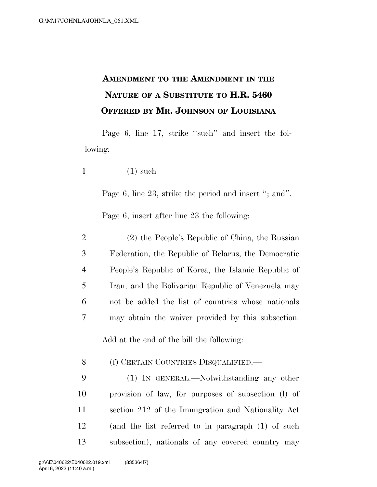## **AMENDMENT TO THE AMENDMENT IN THE NATURE OF A SUBSTITUTE TO H.R. 5460 OFFERED BY MR. JOHNSON OF LOUISIANA**

Page 6, line 17, strike "such" and insert the following:

 $1$  (1) such

Page 6, line 23, strike the period and insert "; and".

Page 6, insert after line 23 the following:

 (2) the People's Republic of China, the Russian Federation, the Republic of Belarus, the Democratic People's Republic of Korea, the Islamic Republic of Iran, and the Bolivarian Republic of Venezuela may not be added the list of countries whose nationals may obtain the waiver provided by this subsection. Add at the end of the bill the following:

8 (f) CERTAIN COUNTRIES DISQUALIFIED.—

 (1) IN GENERAL.—Notwithstanding any other provision of law, for purposes of subsection (l) of section 212 of the Immigration and Nationality Act (and the list referred to in paragraph (1) of such subsection), nationals of any covered country may